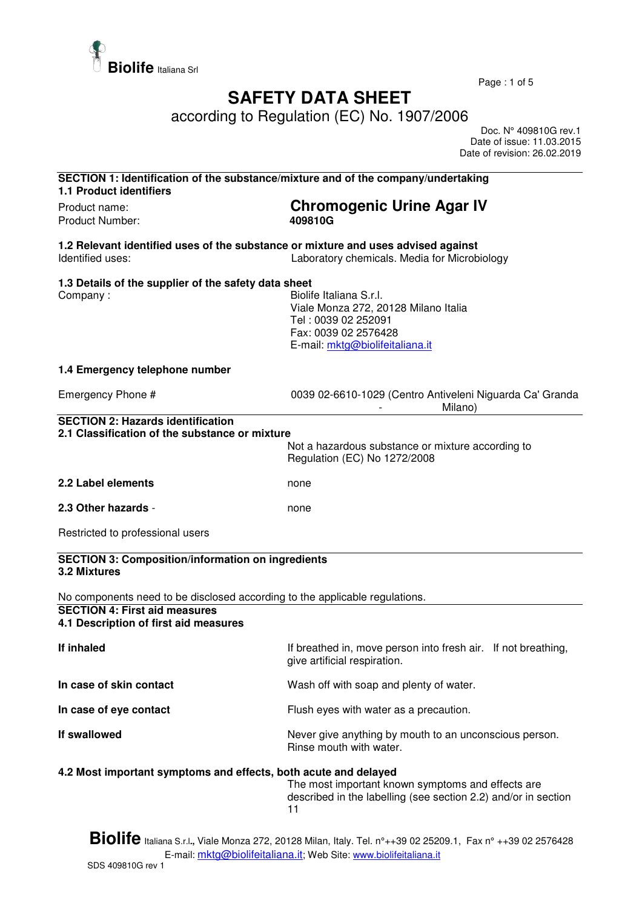

Page : 1 of 5

## **SAFETY DATA SHEET**

according to Regulation (EC) No. 1907/2006

 Doc. N° 409810G rev.1 Date of issue: 11.03.2015 Date of revision: 26.02.2019

| SECTION 1: Identification of the substance/mixture and of the company/undertaking<br><b>1.1 Product identifiers</b> |                                                                                                                                                   |
|---------------------------------------------------------------------------------------------------------------------|---------------------------------------------------------------------------------------------------------------------------------------------------|
| Product name:<br>Product Number:                                                                                    | <b>Chromogenic Urine Agar IV</b><br>409810G                                                                                                       |
| 1.2 Relevant identified uses of the substance or mixture and uses advised against<br>Identified uses:               | Laboratory chemicals. Media for Microbiology                                                                                                      |
| 1.3 Details of the supplier of the safety data sheet<br>Company:                                                    | Biolife Italiana S.r.I.<br>Viale Monza 272, 20128 Milano Italia<br>Tel: 0039 02 252091<br>Fax: 0039 02 2576428<br>E-mail: mktg@biolifeitaliana.it |
| 1.4 Emergency telephone number                                                                                      |                                                                                                                                                   |
| Emergency Phone #                                                                                                   | 0039 02-6610-1029 (Centro Antiveleni Niguarda Ca' Granda<br>Milano)                                                                               |
| <b>SECTION 2: Hazards identification</b><br>2.1 Classification of the substance or mixture                          | Not a hazardous substance or mixture according to<br>Regulation (EC) No 1272/2008                                                                 |
| 2.2 Label elements                                                                                                  | none                                                                                                                                              |
| 2.3 Other hazards -                                                                                                 | none                                                                                                                                              |
| Restricted to professional users                                                                                    |                                                                                                                                                   |
| <b>SECTION 3: Composition/information on ingredients</b><br>3.2 Mixtures                                            |                                                                                                                                                   |
| No components need to be disclosed according to the applicable regulations.                                         |                                                                                                                                                   |
| <b>SECTION 4: First aid measures</b><br>4.1 Description of first aid measures                                       |                                                                                                                                                   |
| If inhaled                                                                                                          | If breathed in, move person into fresh air. If not breathing,<br>give artificial respiration.                                                     |
| In case of skin contact                                                                                             | Wash off with soap and plenty of water.                                                                                                           |
| In case of eye contact                                                                                              | Flush eyes with water as a precaution.                                                                                                            |
| If swallowed                                                                                                        | Never give anything by mouth to an unconscious person.<br>Rinse mouth with water.                                                                 |
| 4.2 Most important symptoms and effects, both acute and delayed                                                     | The most important known symptoms and effects are<br>described in the labelling (see section 2.2) and/or in section<br>11                         |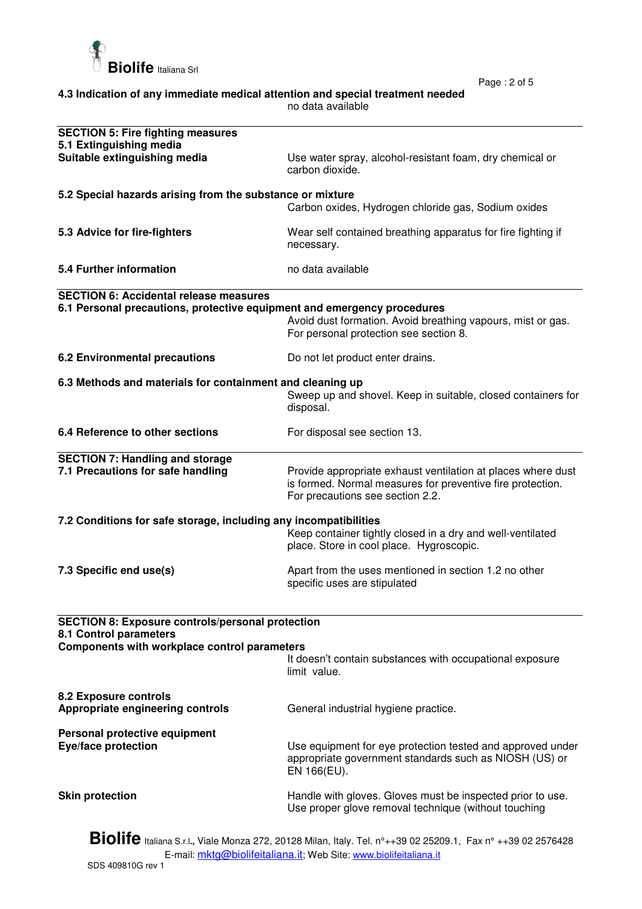

Page : 2 of 5

| 4.3 Indication of any immediate medical attention and special treatment needed |  |
|--------------------------------------------------------------------------------|--|
| no data available                                                              |  |

| <b>SECTION 5: Fire fighting measures</b><br>5.1 Extinguishing media                                                                                                        |                                                                                                                                                                |  |
|----------------------------------------------------------------------------------------------------------------------------------------------------------------------------|----------------------------------------------------------------------------------------------------------------------------------------------------------------|--|
| Suitable extinguishing media                                                                                                                                               | Use water spray, alcohol-resistant foam, dry chemical or<br>carbon dioxide.                                                                                    |  |
| 5.2 Special hazards arising from the substance or mixture                                                                                                                  |                                                                                                                                                                |  |
|                                                                                                                                                                            | Carbon oxides, Hydrogen chloride gas, Sodium oxides                                                                                                            |  |
| 5.3 Advice for fire-fighters                                                                                                                                               | Wear self contained breathing apparatus for fire fighting if<br>necessary.                                                                                     |  |
| 5.4 Further information                                                                                                                                                    | no data available                                                                                                                                              |  |
| <b>SECTION 6: Accidental release measures</b>                                                                                                                              |                                                                                                                                                                |  |
| 6.1 Personal precautions, protective equipment and emergency procedures                                                                                                    | Avoid dust formation. Avoid breathing vapours, mist or gas.<br>For personal protection see section 8.                                                          |  |
| <b>6.2 Environmental precautions</b>                                                                                                                                       | Do not let product enter drains.                                                                                                                               |  |
| 6.3 Methods and materials for containment and cleaning up                                                                                                                  | Sweep up and shovel. Keep in suitable, closed containers for<br>disposal.                                                                                      |  |
| 6.4 Reference to other sections                                                                                                                                            | For disposal see section 13.                                                                                                                                   |  |
| <b>SECTION 7: Handling and storage</b><br>7.1 Precautions for safe handling                                                                                                | Provide appropriate exhaust ventilation at places where dust<br>is formed. Normal measures for preventive fire protection.<br>For precautions see section 2.2. |  |
| 7.2 Conditions for safe storage, including any incompatibilities<br>Keep container tightly closed in a dry and well-ventilated<br>place. Store in cool place. Hygroscopic. |                                                                                                                                                                |  |
| 7.3 Specific end use(s)                                                                                                                                                    | Apart from the uses mentioned in section 1.2 no other<br>specific uses are stipulated                                                                          |  |
| <b>SECTION 8: Exposure controls/personal protection</b><br>8.1 Control parameters                                                                                          |                                                                                                                                                                |  |
| Components with workplace control parameters                                                                                                                               |                                                                                                                                                                |  |
|                                                                                                                                                                            | It doesn't contain substances with occupational exposure<br>limit value.                                                                                       |  |
| 8.2 Exposure controls<br>Appropriate engineering controls                                                                                                                  | General industrial hygiene practice.                                                                                                                           |  |
| Personal protective equipment<br><b>Eye/face protection</b>                                                                                                                | Use equipment for eye protection tested and approved under<br>appropriate government standards such as NIOSH (US) or<br>EN 166(EU).                            |  |
| <b>Skin protection</b>                                                                                                                                                     | Handle with gloves. Gloves must be inspected prior to use.<br>Use proper glove removal technique (without touching                                             |  |

**Biolife** Italiana S.r.l**.,** Viale Monza 272, 20128 Milan, Italy. Tel. n°++39 02 25209.1, Fax n° ++39 02 2576428 E-mail: <u>mktg@biolifeitaliana.it</u>; Web Site: www.biolifeitaliana.it SDS 409810G rev 1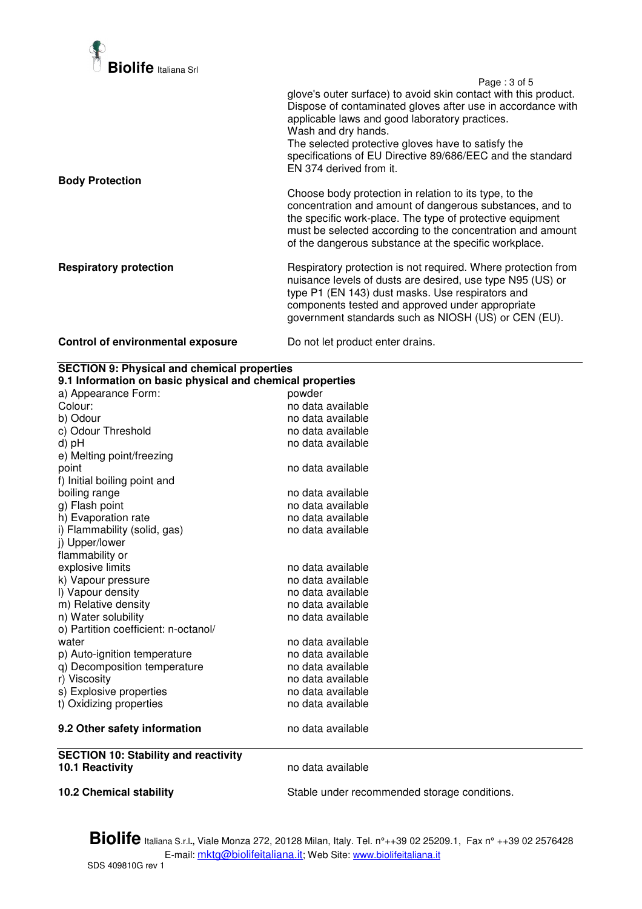

 Page : 3 of 5 glove's outer surface) to avoid skin contact with this product. Dispose of contaminated gloves after use in accordance with applicable laws and good laboratory practices. Wash and dry hands. The selected protective gloves have to satisfy the specifications of EU Directive 89/686/EEC and the standard EN 374 derived from it. **Body Protection**  Choose body protection in relation to its type, to the concentration and amount of dangerous substances, and to the specific work-place. The type of protective equipment must be selected according to the concentration and amount of the dangerous substance at the specific workplace. **Respiratory protection Respiratory protection is not required. Where protection from** nuisance levels of dusts are desired, use type N95 (US) or type P1 (EN 143) dust masks. Use respirators and components tested and approved under appropriate government standards such as NIOSH (US) or CEN (EU). **Control of environmental exposure** Do not let product enter drains.

| <b>SECTION 9: Physical and chemical properties</b>        |                                              |  |  |
|-----------------------------------------------------------|----------------------------------------------|--|--|
| 9.1 Information on basic physical and chemical properties |                                              |  |  |
| a) Appearance Form:                                       | powder                                       |  |  |
| Colour:                                                   | no data available                            |  |  |
| b) Odour                                                  | no data available                            |  |  |
| c) Odour Threshold                                        | no data available                            |  |  |
| d) pH                                                     | no data available                            |  |  |
| e) Melting point/freezing                                 |                                              |  |  |
| point                                                     | no data available                            |  |  |
| f) Initial boiling point and                              |                                              |  |  |
| boiling range                                             | no data available                            |  |  |
| g) Flash point                                            | no data available                            |  |  |
| h) Evaporation rate                                       | no data available                            |  |  |
| i) Flammability (solid, gas)                              | no data available                            |  |  |
| j) Upper/lower                                            |                                              |  |  |
| flammability or                                           |                                              |  |  |
| explosive limits                                          | no data available                            |  |  |
| k) Vapour pressure                                        | no data available                            |  |  |
| I) Vapour density                                         | no data available                            |  |  |
| m) Relative density                                       | no data available                            |  |  |
| n) Water solubility                                       | no data available                            |  |  |
| o) Partition coefficient: n-octanol/                      |                                              |  |  |
| water                                                     | no data available                            |  |  |
| p) Auto-ignition temperature                              | no data available                            |  |  |
| q) Decomposition temperature                              | no data available                            |  |  |
| r) Viscosity                                              | no data available                            |  |  |
| s) Explosive properties                                   | no data available                            |  |  |
| t) Oxidizing properties                                   | no data available                            |  |  |
| 9.2 Other safety information                              | no data available                            |  |  |
| <b>SECTION 10: Stability and reactivity</b>               |                                              |  |  |
| 10.1 Reactivity                                           | no data available                            |  |  |
| <b>10.2 Chemical stability</b>                            | Stable under recommended storage conditions. |  |  |

**Biolife** Italiana S.r.l**.,** Viale Monza 272, 20128 Milan, Italy. Tel. n°++39 02 25209.1, Fax n° ++39 02 2576428 E-mail: mktg@biolifeitaliana.it; Web Site: www.biolifeitaliana.it SDS 409810G rev 1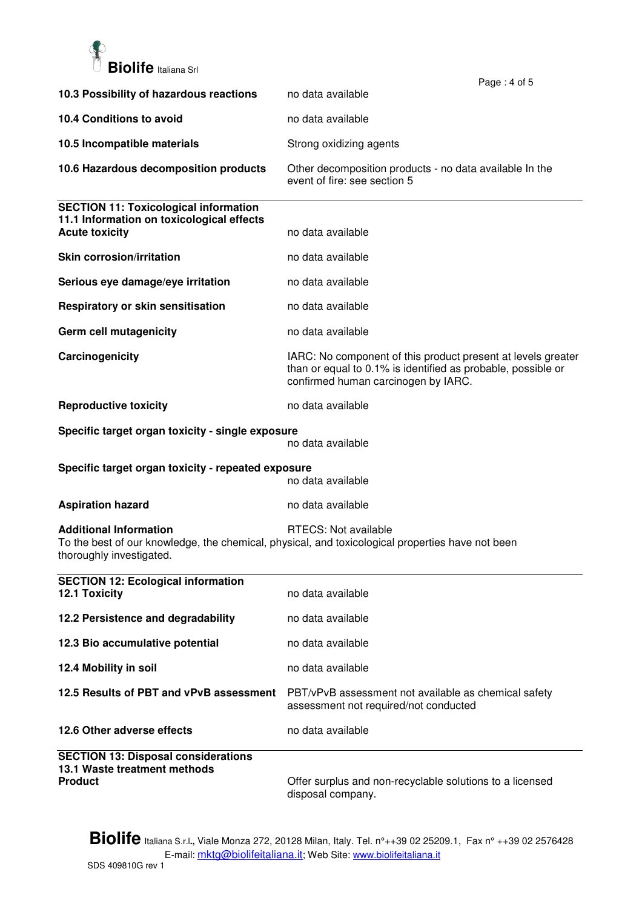

|                                                                                                                    | Page: 4 of 5                                                                                                                                                        |
|--------------------------------------------------------------------------------------------------------------------|---------------------------------------------------------------------------------------------------------------------------------------------------------------------|
| 10.3 Possibility of hazardous reactions                                                                            | no data available                                                                                                                                                   |
| 10.4 Conditions to avoid                                                                                           | no data available                                                                                                                                                   |
| 10.5 Incompatible materials                                                                                        | Strong oxidizing agents                                                                                                                                             |
| 10.6 Hazardous decomposition products                                                                              | Other decomposition products - no data available In the<br>event of fire: see section 5                                                                             |
| <b>SECTION 11: Toxicological information</b><br>11.1 Information on toxicological effects<br><b>Acute toxicity</b> | no data available                                                                                                                                                   |
| <b>Skin corrosion/irritation</b>                                                                                   | no data available                                                                                                                                                   |
| Serious eye damage/eye irritation                                                                                  | no data available                                                                                                                                                   |
| Respiratory or skin sensitisation                                                                                  | no data available                                                                                                                                                   |
| Germ cell mutagenicity                                                                                             | no data available                                                                                                                                                   |
| Carcinogenicity                                                                                                    | IARC: No component of this product present at levels greater<br>than or equal to 0.1% is identified as probable, possible or<br>confirmed human carcinogen by IARC. |
| <b>Reproductive toxicity</b>                                                                                       | no data available                                                                                                                                                   |
| Specific target organ toxicity - single exposure                                                                   | no data available                                                                                                                                                   |
| Specific target organ toxicity - repeated exposure<br>no data available                                            |                                                                                                                                                                     |
| <b>Aspiration hazard</b>                                                                                           | no data available                                                                                                                                                   |
| <b>Additional Information</b><br>thoroughly investigated.                                                          | RTECS: Not available<br>To the best of our knowledge, the chemical, physical, and toxicological properties have not been                                            |
| <b>SECTION 12: Ecological information</b><br>12.1 Toxicity                                                         | no data available                                                                                                                                                   |
| 12.2 Persistence and degradability                                                                                 | no data available                                                                                                                                                   |
| 12.3 Bio accumulative potential                                                                                    | no data available                                                                                                                                                   |
| 12.4 Mobility in soil                                                                                              | no data available                                                                                                                                                   |
| 12.5 Results of PBT and vPvB assessment                                                                            | PBT/vPvB assessment not available as chemical safety<br>assessment not required/not conducted                                                                       |
| 12.6 Other adverse effects                                                                                         | no data available                                                                                                                                                   |
| <b>SECTION 13: Disposal considerations</b><br>13.1 Waste treatment methods<br><b>Product</b>                       | Offer surplus and non-recyclable solutions to a licensed                                                                                                            |

disposal company.